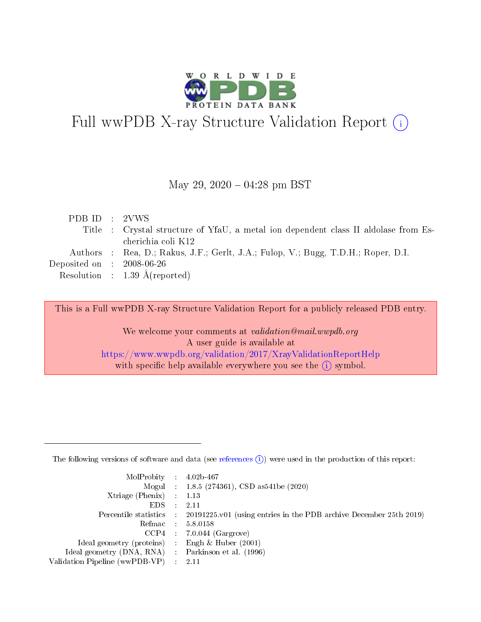

# Full wwPDB X-ray Structure Validation Report (i)

#### May 29,  $2020 - 04:28$  pm BST

| PDB ID : 2VWS               |                                                                                     |
|-----------------------------|-------------------------------------------------------------------------------------|
|                             | Title : Crystal structure of YfaU, a metal ion dependent class II aldolase from Es- |
|                             | cherichia coli K12                                                                  |
|                             | Authors : Rea, D.; Rakus, J.F.; Gerlt, J.A.; Fulop, V.; Bugg, T.D.H.; Roper, D.I.   |
| Deposited on : $2008-06-26$ |                                                                                     |
|                             | Resolution : $1.39 \text{ Å}(\text{reported})$                                      |
|                             |                                                                                     |

This is a Full wwPDB X-ray Structure Validation Report for a publicly released PDB entry.

We welcome your comments at validation@mail.wwpdb.org A user guide is available at <https://www.wwpdb.org/validation/2017/XrayValidationReportHelp> with specific help available everywhere you see the  $(i)$  symbol.

The following versions of software and data (see [references](https://www.wwpdb.org/validation/2017/XrayValidationReportHelp#references)  $(1)$ ) were used in the production of this report:

| $MolProbability$ 4.02b-467                          |               |                                                                                            |
|-----------------------------------------------------|---------------|--------------------------------------------------------------------------------------------|
|                                                     |               | Mogul : $1.8.5$ (274361), CSD as 541be (2020)                                              |
| Xtriage (Phenix) $: 1.13$                           |               |                                                                                            |
| EDS.                                                | $\mathcal{L}$ | -2.11                                                                                      |
|                                                     |               | Percentile statistics : 20191225.v01 (using entries in the PDB archive December 25th 2019) |
|                                                     |               | Refmac $5.8.0158$                                                                          |
| CCP4                                                |               | $7.0.044$ (Gargrove)                                                                       |
| Ideal geometry (proteins)                           | $\sim$        | Engh $\&$ Huber (2001)                                                                     |
| Ideal geometry (DNA, RNA) : Parkinson et al. (1996) |               |                                                                                            |
| Validation Pipeline (wwPDB-VP) : 2.11               |               |                                                                                            |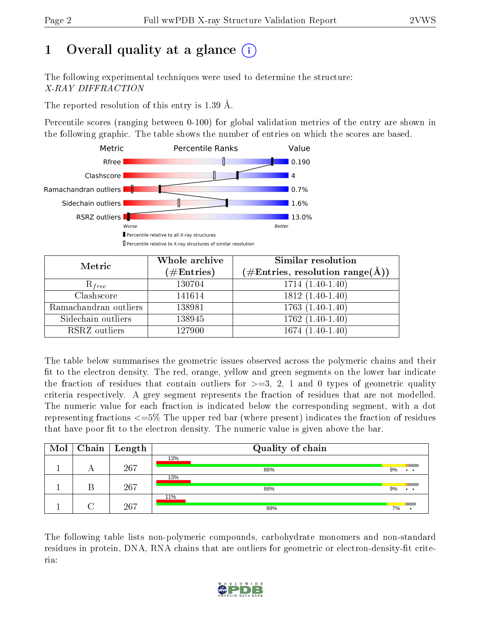## 1 [O](https://www.wwpdb.org/validation/2017/XrayValidationReportHelp#overall_quality)verall quality at a glance  $(i)$

The following experimental techniques were used to determine the structure: X-RAY DIFFRACTION

The reported resolution of this entry is 1.39 Å.

Percentile scores (ranging between 0-100) for global validation metrics of the entry are shown in the following graphic. The table shows the number of entries on which the scores are based.



| Metric                | Whole archive<br>$(\#\text{Entries})$ | Similar resolution<br>$(\#\text{Entries}, \text{resolution range}(\text{\AA}))$ |
|-----------------------|---------------------------------------|---------------------------------------------------------------------------------|
| $R_{free}$            | 130704                                | $1714(1.40-1.40)$                                                               |
| Clashscore            | 141614                                | $1812(1.40-1.40)$                                                               |
| Ramachandran outliers | 138981                                | $1763(1.40-1.40)$                                                               |
| Sidechain outliers    | 138945                                | $1762(1.40-1.40)$                                                               |
| RSRZ outliers         | 127900                                | $1674(1.40-1.40)$                                                               |

The table below summarises the geometric issues observed across the polymeric chains and their fit to the electron density. The red, orange, yellow and green segments on the lower bar indicate the fraction of residues that contain outliers for  $\geq=3$ , 2, 1 and 0 types of geometric quality criteria respectively. A grey segment represents the fraction of residues that are not modelled. The numeric value for each fraction is indicated below the corresponding segment, with a dot representing fractions  $\epsilon=5\%$  The upper red bar (where present) indicates the fraction of residues that have poor fit to the electron density. The numeric value is given above the bar.

| Mol |   | $\boxed{\text{Chain} \mid \text{Length}}$ | Quality of chain |    |
|-----|---|-------------------------------------------|------------------|----|
|     |   |                                           | 13%              |    |
|     | A | 267                                       | 86%              | 9% |
|     |   |                                           | 13%              |    |
|     |   | 267                                       | 86%              | 9% |
|     |   |                                           | 11%              |    |
|     |   | 267                                       | 88%              | 7% |

The following table lists non-polymeric compounds, carbohydrate monomers and non-standard residues in protein, DNA, RNA chains that are outliers for geometric or electron-density-fit criteria:

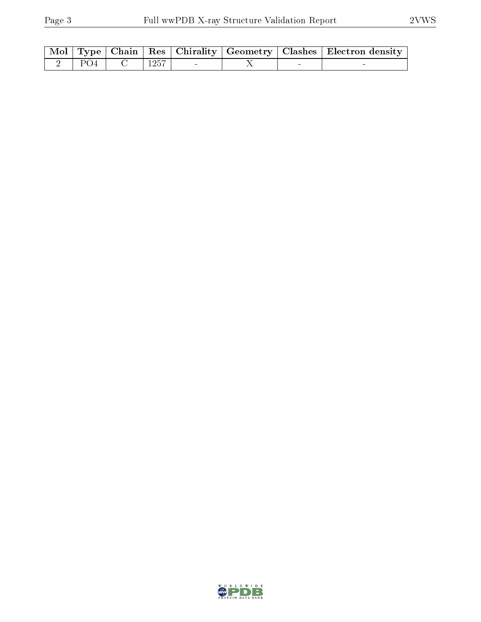|  |      |  | Mol   Type   Chain   Res   Chirality   Geometry   Clashes   Electron density |
|--|------|--|------------------------------------------------------------------------------|
|  | 1257 |  |                                                                              |

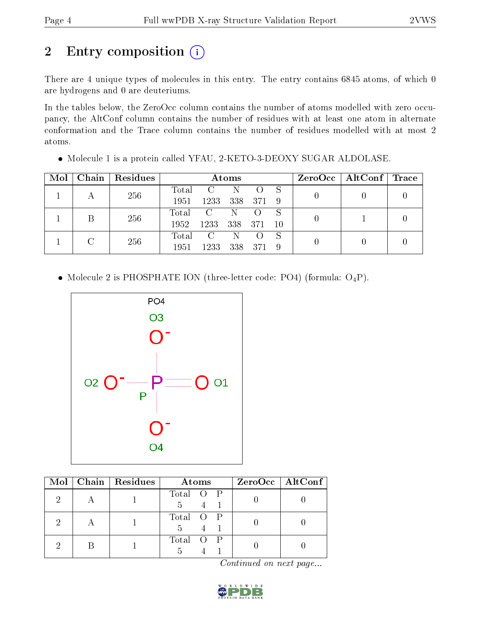## 2 Entry composition (i)

There are 4 unique types of molecules in this entry. The entry contains 6845 atoms, of which 0 are hydrogens and 0 are deuteriums.

In the tables below, the ZeroOcc column contains the number of atoms modelled with zero occupancy, the AltConf column contains the number of residues with at least one atom in alternate conformation and the Trace column contains the number of residues modelled with at most 2 atoms.

| Mol | Chain   Residues | Atoms |               |     |                    |     | $ZeroOcc \mid AltConf \mid Trace$ |  |  |
|-----|------------------|-------|---------------|-----|--------------------|-----|-----------------------------------|--|--|
|     | 256              | Total | $\mathcal{C}$ | N.  |                    |     |                                   |  |  |
|     |                  | 1951  | 1233          |     | 338 371            | - 9 |                                   |  |  |
|     |                  | Total | $\mathcal{C}$ | N   | $\left($ $\right)$ |     |                                   |  |  |
|     | 256              | 1952  | 1233          | 338 | - 371              | -10 |                                   |  |  |
|     |                  | Total | $\mathcal{C}$ | N   |                    |     |                                   |  |  |
|     | 256              | 1951  | 1233          | 338 | 371                |     |                                   |  |  |

Molecule 1 is a protein called YFAU, 2-KETO-3-DEOXY SUGAR ALDOLASE.

• Molecule 2 is PHOSPHATE ION (three-letter code: PO4) (formula:  $O_4P$ ).



| Mol | Chain   Residues | Atoms                            | $ZeroOcc$   AltConf |
|-----|------------------|----------------------------------|---------------------|
| 2   |                  | Total O P                        |                     |
| 2   |                  | Total O P                        |                     |
|     |                  | Total<br>$\cdot$ P<br>- ()<br>h. |                     |

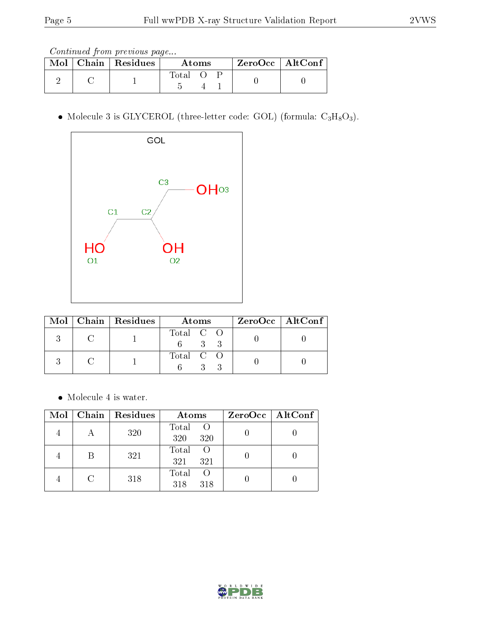Continued from previous page...

|  | $\text{Mol}$   Chain   Residues | Atoms |  |  | $ZeroOcc \   \$ AltConf |
|--|---------------------------------|-------|--|--|-------------------------|
|  |                                 | Total |  |  |                         |

• Molecule 3 is GLYCEROL (three-letter code: GOL) (formula:  $C_3H_8O_3$ ).



|  | Mol   Chain   Residues | Atoms                 | $ZeroOcc \   \ AltConf \  $ |
|--|------------------------|-----------------------|-----------------------------|
|  |                        | Total C O<br>$\sim$ 3 |                             |
|  |                        | Total C O             |                             |

• Molecule 4 is water.

|        | Mol   Chain   Residues | Atoms                            | ZeroOcc   AltConf |
|--------|------------------------|----------------------------------|-------------------|
|        | 320                    | Total<br>$\circ$ O<br>320<br>320 |                   |
| B      | 321                    | Total<br>- ()<br>321<br>321      |                   |
| $\cap$ | 318                    | Total<br>$\left($<br>318<br>318  |                   |

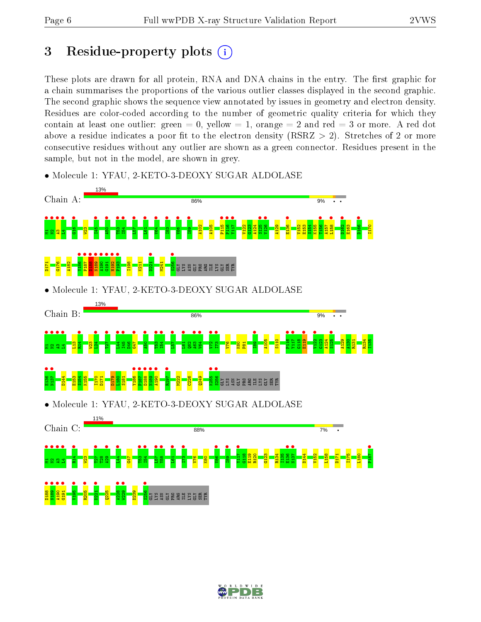## 3 Residue-property plots  $(i)$

These plots are drawn for all protein, RNA and DNA chains in the entry. The first graphic for a chain summarises the proportions of the various outlier classes displayed in the second graphic. The second graphic shows the sequence view annotated by issues in geometry and electron density. Residues are color-coded according to the number of geometric quality criteria for which they contain at least one outlier: green  $= 0$ , yellow  $= 1$ , orange  $= 2$  and red  $= 3$  or more. A red dot above a residue indicates a poor fit to the electron density (RSRZ  $> 2$ ). Stretches of 2 or more consecutive residues without any outlier are shown as a green connector. Residues present in the sample, but not in the model, are shown in grey.



• Molecule 1: YFAU, 2-KETO-3-DEOXY SUGAR ALDOLASE

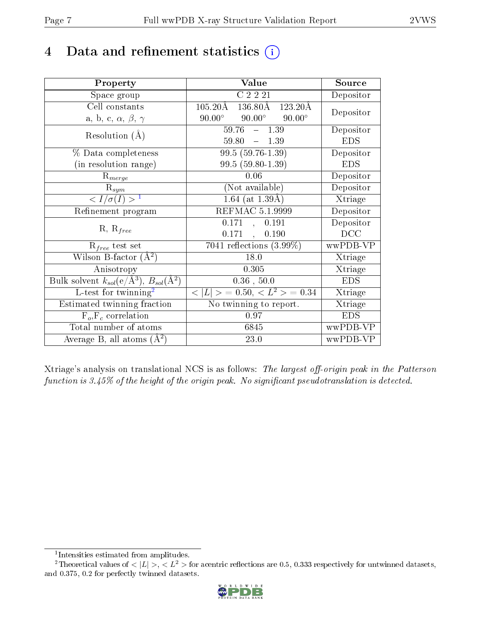## 4 Data and refinement statistics  $(i)$

| Property                                                             | Value                                                          | Source                       |
|----------------------------------------------------------------------|----------------------------------------------------------------|------------------------------|
| Space group                                                          | C2221                                                          | Depositor                    |
| Cell constants                                                       | $105.20\text{\AA}$<br>$136.80\text{\AA}$<br>$123.20\text{\AA}$ | Depositor                    |
| a, b, c, $\alpha$ , $\beta$ , $\gamma$                               | $90.00^{\circ}$<br>$90.00^\circ$<br>$90.00^\circ$              |                              |
| Resolution $(A)$                                                     | $59.76 - 1.39$                                                 | Depositor                    |
|                                                                      | 59.80<br>$-1.39$                                               | <b>EDS</b>                   |
| % Data completeness                                                  | 99.5 (59.76-1.39)                                              | Depositor                    |
| (in resolution range)                                                | 99.5 (59.80-1.39)                                              | <b>EDS</b>                   |
| $R_{merge}$                                                          | 0.06                                                           | Depositor                    |
| $R_{sym}$                                                            | (Not available)                                                | Depositor                    |
| $\langle I/\sigma(I) \rangle^{-1}$                                   | $1.64$ (at $1.39\text{\AA})$                                   | Xtriage                      |
| Refinement program                                                   | REFMAC 5.1.9999                                                | Depositor                    |
|                                                                      | 0.171<br>, 0.191                                               | Depositor                    |
| $R, R_{free}$                                                        | $0.171$ ,<br>0.190                                             | DCC                          |
| $R_{free}$ test set                                                  | 7041 reflections $(3.99\%)$                                    | wwPDB-VP                     |
| Wilson B-factor $(A^2)$                                              | 18.0                                                           | Xtriage                      |
| Anisotropy                                                           | 0.305                                                          | Xtriage                      |
| Bulk solvent $k_{sol}(e/\mathring{A}^3)$ , $B_{sol}(\mathring{A}^2)$ | $0.36$ , $50.0$                                                | <b>EDS</b>                   |
| L-test for twinning <sup>2</sup>                                     | $< L >$ = 0.50, $< L2$ > = 0.34                                | Xtriage                      |
| Estimated twinning fraction                                          | No twinning to report.                                         | $\overline{\text{X}}$ triage |
| $\overline{F_o}, \overline{F_c}$ correlation                         | 0.97                                                           | <b>EDS</b>                   |
| Total number of atoms                                                | 6845                                                           | wwPDB-VP                     |
| Average B, all atoms $(A^2)$                                         | 23.0                                                           | wwPDB-VP                     |

Xtriage's analysis on translational NCS is as follows: The largest off-origin peak in the Patterson function is  $3.45\%$  of the height of the origin peak. No significant pseudotranslation is detected.

<sup>&</sup>lt;sup>2</sup>Theoretical values of  $\langle |L| \rangle$ ,  $\langle L^2 \rangle$  for acentric reflections are 0.5, 0.333 respectively for untwinned datasets, and 0.375, 0.2 for perfectly twinned datasets.



<span id="page-6-1"></span><span id="page-6-0"></span><sup>1</sup> Intensities estimated from amplitudes.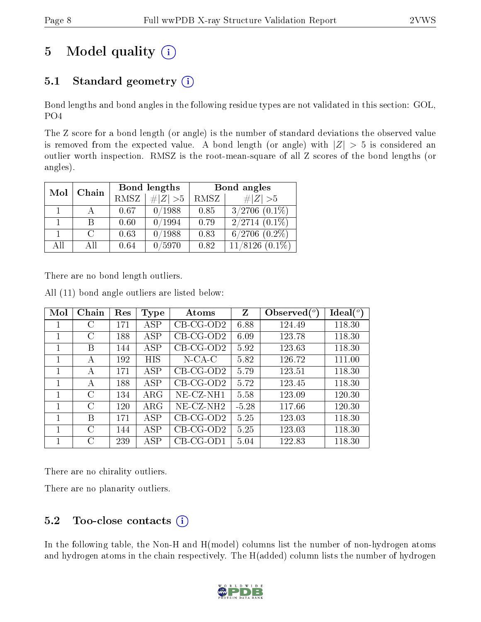## 5 Model quality  $(i)$

### 5.1 Standard geometry  $(i)$

Bond lengths and bond angles in the following residue types are not validated in this section: GOL, PO4

The Z score for a bond length (or angle) is the number of standard deviations the observed value is removed from the expected value. A bond length (or angle) with  $|Z| > 5$  is considered an outlier worth inspection. RMSZ is the root-mean-square of all Z scores of the bond lengths (or angles).

| Mol | Chain                       |      | Bond lengths | Bond angles |                      |  |
|-----|-----------------------------|------|--------------|-------------|----------------------|--|
|     |                             | RMSZ | $\# Z  > 5$  | RMSZ        | # $ Z >5$            |  |
|     |                             | 0.67 | 0/1988       | 0.85        | $3/2706$ $(0.1\%)$   |  |
|     | В                           | 0.60 | 0/1994       | 0.79        | $2/2714(0.1\%)$      |  |
|     | $\mathcal{C}_{\mathcal{C}}$ | 0.63 | 0/1988       | 0.83        | $6/2706$ $(0.2\%)$   |  |
| AĦ  | Аll                         | 0.64 | /5970        | 0.82        | 11/8126<br>$(0.1\%)$ |  |

There are no bond length outliers.

| Mol | Chain         | Res | Type       | Atoms                    | Z       | Observed $(°)$ | Ideal $(°)$ |
|-----|---------------|-----|------------|--------------------------|---------|----------------|-------------|
|     | C             | 171 | ASP        | $CB-CG-OD2$              | 6.88    | 124.49         | 118.30      |
| 1   | C             | 188 | ASP        | $CB-CG-OD2$              | 6.09    | 123.78         | 118.30      |
| 1   | B             | 144 | ASP        | $CB-CG-OD2$              | 5.92    | 123.63         | 118.30      |
| 1   | А             | 192 | <b>HIS</b> | $N$ -CA-C                | 5.82    | 126.72         | 111.00      |
|     | А             | 171 | ASP        | $CB-CG-OD2$              | 5.79    | 123.51         | 118.30      |
| 1   | А             | 188 | ASP        | $CB-CG-OD2$              | 5.72    | 123.45         | 118.30      |
| 1   | C             | 134 | $\rm{ARG}$ | NE-CZ-NH1                | 5.58    | 123.09         | 120.30      |
| 1   | C             | 120 | $\rm{ARG}$ | $NE$ -CZ-NH <sub>2</sub> | $-5.28$ | 117.66         | 120.30      |
| 1   | B             | 171 | ASP        | $CB-CG-OD2$              | 5.25    | 123.03         | 118.30      |
|     | $\mathcal{C}$ | 144 | ASP        | $CB-CG-OD2$              | 5.25    | 123.03         | 118.30      |
|     | $\bigcap$     | 239 | ASP        | $CB-CG-OD1$              | 5.04    | 122.83         | 118.30      |

All (11) bond angle outliers are listed below:

There are no chirality outliers.

There are no planarity outliers.

#### $5.2$  Too-close contacts  $(i)$

In the following table, the Non-H and H(model) columns list the number of non-hydrogen atoms and hydrogen atoms in the chain respectively. The H(added) column lists the number of hydrogen

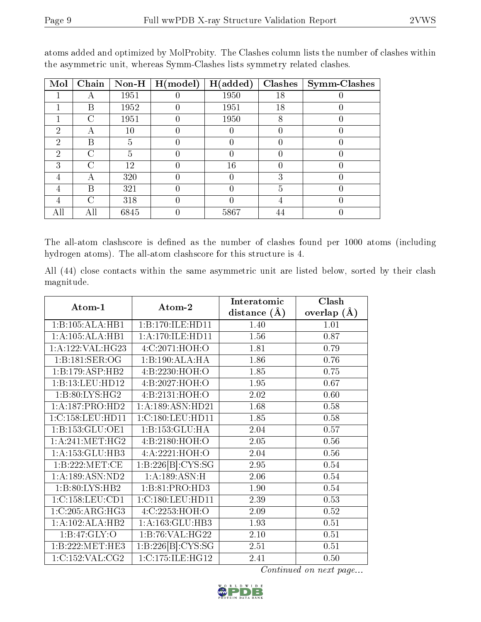| Mol           | Chain | $\bf Non-H$ | $\mid$ H(model) | H(added) | Clashes | <b>Symm-Clashes</b> |
|---------------|-------|-------------|-----------------|----------|---------|---------------------|
|               | А     | 1951        |                 | 1950     | 18      |                     |
|               | Β     | 1952        |                 | 1951     | 18      |                     |
|               | С     | 1951        |                 | 1950     | 8       |                     |
| 2             | А     | 10          |                 |          |         |                     |
| $\mathcal{D}$ | В     | 5           |                 |          |         |                     |
| 2             | C     | 5           |                 |          |         |                     |
| 3             | C     | 12          |                 | 16       |         |                     |
| 4             | А     | 320         |                 |          | 3       |                     |
| 4             | В     | 321         |                 |          | 5       |                     |
|               | C     | 318         |                 |          |         | U                   |
| All           | All   | 6845        |                 | 5867     | 44      |                     |

atoms added and optimized by MolProbity. The Clashes column lists the number of clashes within the asymmetric unit, whereas Symm-Clashes lists symmetry related clashes.

The all-atom clashscore is defined as the number of clashes found per 1000 atoms (including hydrogen atoms). The all-atom clashscore for this structure is 4.

All (44) close contacts within the same asymmetric unit are listed below, sorted by their clash magnitude.

| Atom-1               | Atom-2                     | Interatomic    | Clash         |
|----------------------|----------------------------|----------------|---------------|
|                      |                            | distance $(A)$ | overlap $(A)$ |
| 1:B:105:ALA:HB1      | 1:B:170:ILE:HD11           | 1.40           | 1.01          |
| 1:A:105:ALA:HB1      | 1: A:170: ILE: HD11        | 1.56           | 0.87          |
| 1: A: 122: VAL: HG23 | 4:C:2071:HOH:O             | 1.81           | 0.79          |
| 1:B:181:SER:OG       | 1:B:190:ALA:HA             | 1.86           | 0.76          |
| 1:B:179:ASP:HB2      | 4:B:2230:HOH:O             | 1.85           | 0.75          |
| 1:B:13:LEU:HD12      | 4: B: 2027: HOH:O          | 1.95           | 0.67          |
| 1: B:80: LYS: HG2    | 4:B:2131:HOH:O             | 2.02           | 0.60          |
| 1:A:187:PRO:HD2      | 1: A: 189: ASN: HD21       | 1.68           | 0.58          |
| 1:C:158:LEU:HDI1     | 1:C:180:LEU:HD11           | 1.85           | 0.58          |
| 1:B:153:GLU:OE1      | 1:B:153:GLU:HA             | 2.04           | 0.57          |
| 1: A:241: MET:HG2    | 4: B: 2180: HOH:O          | 2.05           | $0.56\,$      |
| 1:A:153:GLU:HB3      | 4:A:2221:HOH:O             | 2.04           | 0.56          |
| 1:B:222:MET:CE       | 1:B:226[B]:CYS:SG          | 2.95           | 0.54          |
| 1:A:189:ASN:ND2      | $1:A:\overline{189:ASN:H}$ | 2.06           | 0.54          |
| 1:B:80:LYS:HB2       | 1:B:81:PRO:HD3             | 1.90           | 0.54          |
| 1:C:158:LEU:CD1      | 1:C:180:LEU:HD11           | 2.39           | 0.53          |
| 1:C:205:ARG:HG3      | 4:C:2253:HOH:O             | 2.09           | 0.52          |
| 1:A:102:ALA:HB2      | 1:A:163:GLU:HB3            | 1.93           | 0.51          |
| 1:B:47:GLY:O         | 1:B:76:VAL:HG22            | 2.10           | 0.51          |
| 1:B:222:MET:HE3      | 1:B:226[B]:CYS:SG          | 2.51           | 0.51          |
| 1:C:152:VAL:CG2      | 1:C:175:ILE:HG12           | 2.41           | 0.50          |

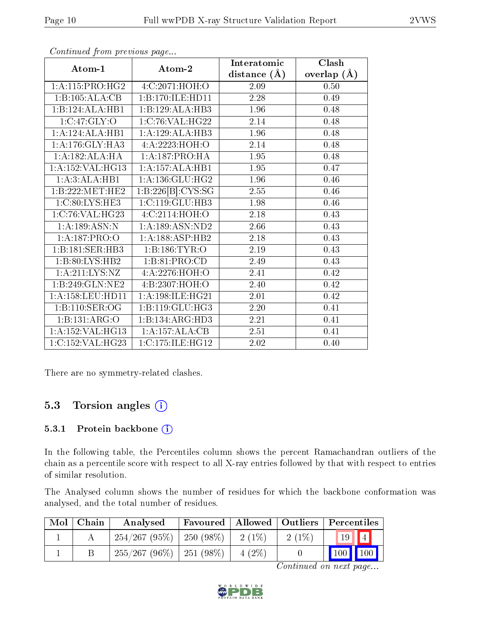|                            |                             | Interatomic    | Clash         |
|----------------------------|-----------------------------|----------------|---------------|
| Atom-1                     | Atom-2                      | distance $(A)$ | overlap $(A)$ |
| 1:A:115:PRO:HG2            | 4:C:2071:HOH:O              | 2.09           | 0.50          |
| 1:B:105:ALA:CB             | 1:B:170:ILE:HD11            | 2.28           | 0.49          |
| 1:B:124:ALA:HB1            | 1:B:129:ALA:HB3             | 1.96           | 0.48          |
| 1:C:47:GLY:O               | 1:C:76:VAL:HG22             | 2.14           | 0.48          |
| 1:A:124:ALA:HB1            | 1:A:129:ALA:HB3             | 1.96           | 0.48          |
| 1:A:176:GLY:HA3            | 4:A:2223:HOH:O              | 2.14           | 0.48          |
| 1:A:182:ALA:HA             | 1: A: 187: PRO: HA          | 1.95           | 0.48          |
| 1:A:152:VAL:HG13           | 1:A:157:ALA:HB1             | 1.95           | 0.47          |
| 1:A:3:ALA:HB1              | 1: A: 136: GLU: HG2         | 1.96           | 0.46          |
| 1:B:222:MET:HE2            | 1:B:226[B]:CYS:SG           | 2.55           | 0.46          |
| 1:C:80:LYS:HE3             | 1:C:119:GLU:HB3             | 1.98           | 0.46          |
| 1:C:76:VAL:HG23            | 4:C:2114:HOH:O              | 2.18           | 0.43          |
| 1: A: 189: ASN: N          | 1: A: 189: ASN: ND2         | 2.66           | 0.43          |
| 1:A:187:PRO:O              | 1:A:188:ASP:HB2             | 2.18           | 0.43          |
| 1:B:181:SER:HB3            | 1:B:186:TYR:O               | 2.19           | 0.43          |
| 1:B:80:LYS:HB2             | 1:B:81:PRO:CD               | 2.49           | 0.43          |
| 1:A:211:LYS:NZ             | 4: A: 2276: HOH:O           | 2.41           | 0.42          |
| 1:B:249:GLN:NE2            | 4:B:2307:HOH:O              | 2.40           | 0.42          |
| 1:A:158:LEU:HD11           | 1: A:198: ILE: HG21         | 2.01           | 0.42          |
| 1:B:110:SER:OG             | 1:B:119:GLU:HG3             | 2.20           | 0.41          |
| $1:B:131:A\overline{RG:O}$ | 1:B:134:ARG:HD3             | 2.21           | 0.41          |
| 1: A: 152: VAL: HG13       | $1:A:\overline{157:ALA:CB}$ | 2.51           | 0.41          |
| 1:C:152:VAL:HG23           | 1:C:175:ILE:HG12            | 2.02           | 0.40          |

Continued from previous page...

There are no symmetry-related clashes.

#### 5.3 Torsion angles  $(i)$

#### 5.3.1 Protein backbone (i)

In the following table, the Percentiles column shows the percent Ramachandran outliers of the chain as a percentile score with respect to all X-ray entries followed by that with respect to entries of similar resolution.

The Analysed column shows the number of residues for which the backbone conformation was analysed, and the total number of residues.

| $Mol$   Chain | Analysed                      | $\mid$ Favoured $\mid$ Allowed $\mid$ Outliers $\mid$ Percentiles $\mid$ |                     |          |                                |  |
|---------------|-------------------------------|--------------------------------------------------------------------------|---------------------|----------|--------------------------------|--|
|               | $254/267 (95\%)$   250 (98\%) |                                                                          | $\frac{1}{2}$ (1\%) | $2(1\%)$ | $\vert 19 \vert \vert 4 \vert$ |  |
|               | $255/267 (96\%)$   251 (98\%) |                                                                          | $4(2\%)$            |          | $\mid$ 100 $\mid$ 100 $\mid$   |  |

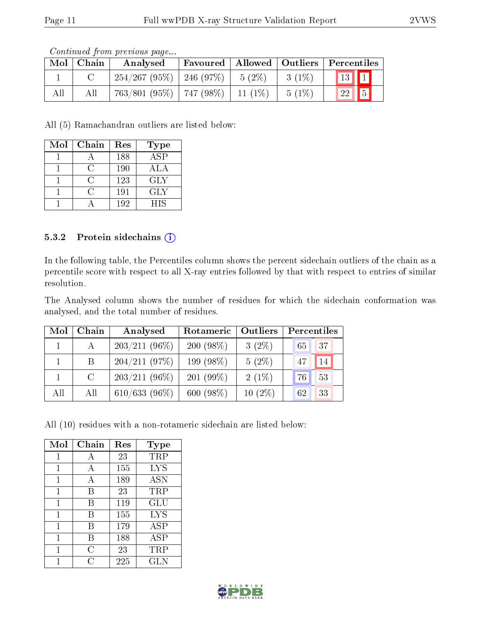|     |             | contentation provided to page         |          |          |                                             |  |
|-----|-------------|---------------------------------------|----------|----------|---------------------------------------------|--|
|     | Mol   Chain | Analysed                              |          |          | Favoured   Allowed   Outliers   Percentiles |  |
|     |             | $254/267 (95\%)$   246 (97\%)         | $5(2\%)$ | $3(1\%)$ | $\boxed{13}$ $\boxed{1}$                    |  |
| All | All         | $763/801$ (95%)   747 (98%)   11 (1%) |          | $5(1\%)$ | $\boxed{22}$ 5                              |  |

Continued from previous page...

All (5) Ramachandran outliers are listed below:

| Mol | Chain | Res | Type             |
|-----|-------|-----|------------------|
|     |       | 188 | $\overline{ASP}$ |
|     | €.    | 190 | ALA              |
|     | ⊖     | 123 | <b>GLY</b>       |
|     | O     | 191 | GLY              |
|     |       | 192 | HIS              |

#### 5.3.2 Protein sidechains  $(i)$

In the following table, the Percentiles column shows the percent sidechain outliers of the chain as a percentile score with respect to all X-ray entries followed by that with respect to entries of similar resolution.

The Analysed column shows the number of residues for which the sidechain conformation was analysed, and the total number of residues.

| Mol | Chain   | Analysed        | Outliers<br>Rotameric |           | Percentiles |    |  |
|-----|---------|-----------------|-----------------------|-----------|-------------|----|--|
|     |         | $203/211(96\%)$ | 200 $(98\%)$          | $3(2\%)$  | 65          | 37 |  |
|     | B       | 204/211(97%)    | 199 (98%)             | $5(2\%)$  | 47          | 14 |  |
|     | $\rm C$ | $203/211(96\%)$ | 201 $(99\%)$          | $2(1\%)$  | 76          | 53 |  |
| All | All     | $610/633(96\%)$ | 600(98%)              | $10(2\%)$ | 62          | 33 |  |

All (10) residues with a non-rotameric sidechain are listed below:

| Mol | Chain | Res | Type       |
|-----|-------|-----|------------|
| 1   | А     | 23  | TRP        |
| 1   | А     | 155 | <b>LYS</b> |
| 1   | A     | 189 | <b>ASN</b> |
| 1   | В     | 23  | TRP        |
| 1   | В     | 119 | GLU        |
| 1   | В     | 155 | <b>LYS</b> |
| 1   | В     | 179 | ASP        |
| 1   | В     | 188 | ASP        |
| 1   | C     | 23  | $\rm TRP$  |
|     | C     | 225 | <b>GLN</b> |

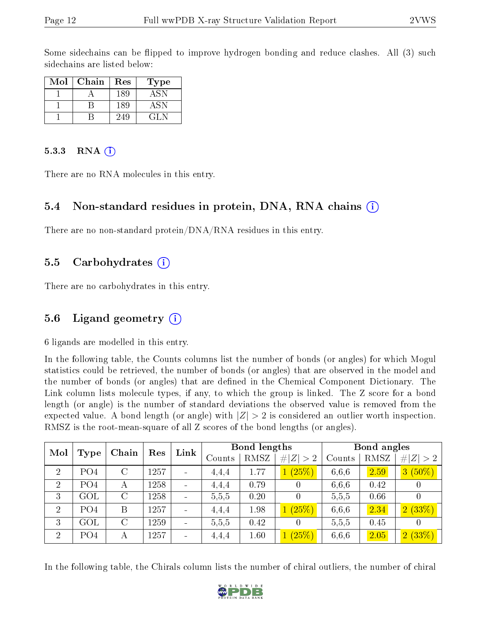Some sidechains can be flipped to improve hydrogen bonding and reduce clashes. All (3) such sidechains are listed below:

| Mol | Chain | $\operatorname{Res}% \left( \mathcal{N}\right) \equiv\operatorname{Res}(\mathcal{N}_{0},\mathcal{N}_{0})$ | Type |
|-----|-------|-----------------------------------------------------------------------------------------------------------|------|
|     |       | 189                                                                                                       | ASN  |
|     |       | 189                                                                                                       | ASN. |
|     |       | 249                                                                                                       | GL N |

#### 5.3.3 RNA $(i)$

There are no RNA molecules in this entry.

#### 5.4 Non-standard residues in protein, DNA, RNA chains (i)

There are no non-standard protein/DNA/RNA residues in this entry.

#### 5.5 Carbohydrates (i)

There are no carbohydrates in this entry.

#### 5.6 Ligand geometry  $(i)$

6 ligands are modelled in this entry.

In the following table, the Counts columns list the number of bonds (or angles) for which Mogul statistics could be retrieved, the number of bonds (or angles) that are observed in the model and the number of bonds (or angles) that are defined in the Chemical Component Dictionary. The Link column lists molecule types, if any, to which the group is linked. The Z score for a bond length (or angle) is the number of standard deviations the observed value is removed from the expected value. A bond length (or angle) with  $|Z| > 2$  is considered an outlier worth inspection. RMSZ is the root-mean-square of all Z scores of the bond lengths (or angles).

| Mol            |                 | Chain              | Res  | Link                     |        | <b>Bond lengths</b> |                  |        | Bond angles |                       |
|----------------|-----------------|--------------------|------|--------------------------|--------|---------------------|------------------|--------|-------------|-----------------------|
|                | Type            |                    |      |                          | Counts | RMSZ                | #<br> Z >2       | Counts | RMSZ        | $#^{\prime}$<br> Z >2 |
| $\overline{2}$ | PO <sub>4</sub> | C                  | 1257 |                          | 4,4,4  | 1.77                | (25%)            | 6,6,6  | 2.59        | $3(50\%)$             |
| $\overline{2}$ | PO <sub>4</sub> | А                  | 1258 |                          | 4,4,4  | 0.79                | $\left( \right)$ | 6,6,6  | 0.42        | $\left( \right)$      |
| 3              | GOL             | $\overline{\rm C}$ | 1258 | $\overline{\phantom{a}}$ | 5,5,5  | 0.20                | $\overline{0}$   | 5,5,5  | 0.66        | 0                     |
| $\overline{2}$ | PO4             | B                  | 1257 |                          | 4.4.4  | 1.98                | (25%)            | 6,6,6  | 2.34        | 2(33%)                |
| 3              | GOL             | $\mathcal{C}$      | 1259 |                          | 5,5,5  | 0.42                | $\Omega$         | 5,5,5  | 0.45        | $\left( \right)$      |
| $\overline{2}$ | PO <sub>4</sub> | А                  | 1257 |                          | 4,4,4  | 1.60                | (25%)            | 6,6,6  | 2.05        | 2(33%)                |

In the following table, the Chirals column lists the number of chiral outliers, the number of chiral

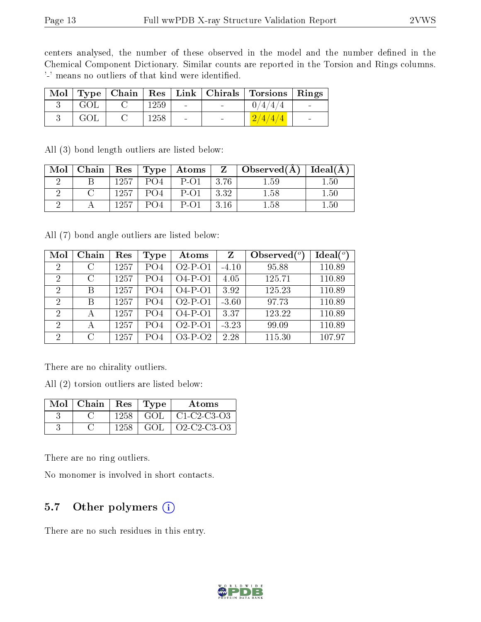centers analysed, the number of these observed in the model and the number defined in the Chemical Component Dictionary. Similar counts are reported in the Torsion and Rings columns. '-' means no outliers of that kind were identified.

|     |      |        | Mol   Type   Chain   Res   Link   Chirals   Torsions   Rings |  |
|-----|------|--------|--------------------------------------------------------------|--|
| GOL | 1259 | $\sim$ | 0/4/4/4                                                      |  |
| GOL | 1258 | $\sim$ | 2/4/4/4                                                      |  |

|  | All (3) bond length outliers are listed below: |  |  |  |
|--|------------------------------------------------|--|--|--|
|  |                                                |  |  |  |

| Mol | $ $ Chain $ $ |      |                 |           |      | Res Type Atoms   Z   Observed(A)   Ideal(A) |          |
|-----|---------------|------|-----------------|-----------|------|---------------------------------------------|----------|
|     |               | 1257 | PO <sub>4</sub> | $P$ -O1   | 3.76 | 1.59                                        | 1.50     |
|     |               | 1257 | PO <sub>4</sub> | $P-O1$    | 3.32 | 1.58                                        | 1.50     |
|     |               | 1257 | PO4             | $P_{-}O1$ | 3.16 | 1.58                                        | $1.50\,$ |

All (7) bond angle outliers are listed below:

| Mol                         | Chain         | Res  | Type            | Atoms      | Z       | Observed $(^\circ)$ | Ideal(°) |
|-----------------------------|---------------|------|-----------------|------------|---------|---------------------|----------|
| $\overline{2}$              | C             | 1257 | PO <sub>4</sub> | $O2-P-O1$  | $-4.10$ | 95.88               | 110.89   |
| 2                           | $\mathcal{C}$ | 1257 | PO4             | $O4-P-O1$  | 4.05    | 125.71              | 110.89   |
| $\mathfrak{D}$              | B             | 1257 | PO4             | $O4-P-O1$  | 3.92    | 125.23              | 110.89   |
| 2                           | B             | 1257 | PO4             | $O2-P-O1$  | $-3.60$ | 97.73               | 110.89   |
| $\mathcal{D}_{\mathcal{L}}$ |               | 1257 | PO4             | $O4-P-O1$  | 3.37    | 123.22              | 110.89   |
| $\overline{2}$              |               | 1257 | PO4             | $O2$ -P-O1 | $-3.23$ | 99.09               | 110.89   |
| $\overline{2}$              | $\mathcal{C}$ | 1257 | PO4             | $O3-P-O2$  | 2.28    | 115.30              | 107.97   |

There are no chirality outliers.

All (2) torsion outliers are listed below:

| $Mol$   Chain | $\operatorname{Res}$ | Type | Atoms         |
|---------------|----------------------|------|---------------|
|               | 1258                 | GOL  | $C1-C2-C3-O3$ |
|               | 1258                 | GOI  | Q2-C2-C3-Q3   |

There are no ring outliers.

No monomer is involved in short contacts.

### 5.7 [O](https://www.wwpdb.org/validation/2017/XrayValidationReportHelp#nonstandard_residues_and_ligands)ther polymers  $(i)$

There are no such residues in this entry.

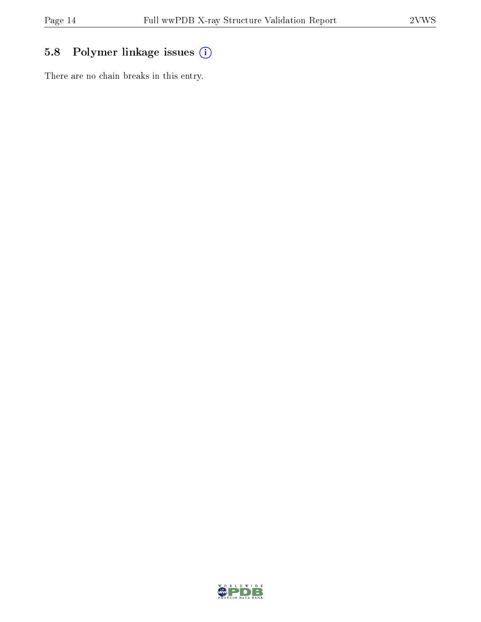### 5.8 Polymer linkage issues (i)

There are no chain breaks in this entry.

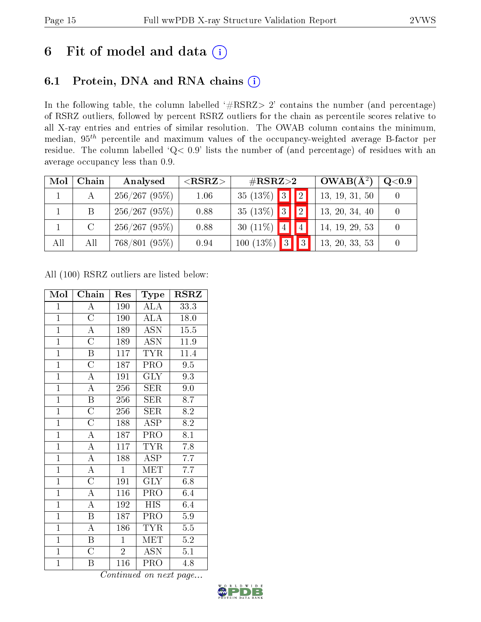## 6 Fit of model and data  $(i)$

### 6.1 Protein, DNA and RNA chains  $(i)$

In the following table, the column labelled  $#RSRZ> 2'$  contains the number (and percentage) of RSRZ outliers, followed by percent RSRZ outliers for the chain as percentile scores relative to all X-ray entries and entries of similar resolution. The OWAB column contains the minimum, median,  $95<sup>th</sup>$  percentile and maximum values of the occupancy-weighted average B-factor per residue. The column labelled ' $Q< 0.9$ ' lists the number of (and percentage) of residues with an average occupancy less than 0.9.

| Mol | Chain   | Analysed      | $\rm \#RSRZ{>}2$<br>${ <\hspace{-1.5pt}{\mathrm{RSRZ}} \hspace{-1.5pt}>}$ |                                  | $OWAB(A^2)$    | $\rm Q\textcolor{black}{<}0.9$ |
|-----|---------|---------------|---------------------------------------------------------------------------|----------------------------------|----------------|--------------------------------|
|     |         | 256/267(95%)  | 1.06                                                                      | 35 (13%) 3 $\boxed{2}$           | 13, 19, 31, 50 |                                |
|     | B       | 256/267(95%)  | 0.88                                                                      | 35 (13%) 3 $\boxed{2}$           | 13, 20, 34, 40 |                                |
|     | $\rm C$ | 256/267(95%)  | 0.88                                                                      | 30 (11\%) $4$                    | 14, 19, 29, 53 |                                |
| All | All     | 768/801 (95%) | 0.94                                                                      | $\boxed{3}$<br>$100(13\%)$<br> 3 | 13, 20, 33, 53 |                                |

All (100) RSRZ outliers are listed below:

| Mol            | Chain                   | Res            | Type                      | <b>RSRZ</b>       |
|----------------|-------------------------|----------------|---------------------------|-------------------|
| $\mathbf{1}$   | $\boldsymbol{A}$        | 190            | <b>ALA</b>                | 33.3              |
| $\overline{1}$ | $\overline{\rm C}$      | 190            | ALA                       | 18.0              |
| $\overline{1}$ | $\overline{\rm A}$      | 189            | <b>ASN</b>                | 15.5              |
| $\overline{1}$ | $\overline{\rm C}$      | 189            | $\overline{\mathrm{ASN}}$ | $\overline{11.9}$ |
| $\mathbf{1}$   | $\boldsymbol{B}$        | 117            | <b>TYR</b>                | $11.\overline{4}$ |
| $\overline{1}$ | $\overline{\rm C}$      | 187            | PRO                       | $\overline{9.5}$  |
| $\overline{1}$ | $\overline{\rm A}$      | 191            | <b>GLY</b>                | 9.3               |
| $\overline{1}$ | $\overline{\rm A}$      | 256            | SER                       | 9.0               |
| $\mathbf{1}$   | $\overline{\mathrm{B}}$ | 256            | <b>SER</b>                | 8.7               |
| $\mathbf{1}$   | $\overline{\rm C}$      | 256            | SER                       | 8.2               |
| $\overline{1}$ | $\overline{\rm C}$      | 188            | $\overline{\rm ASP}$      | $\overline{8.2}$  |
| $\mathbf{1}$   | $\overline{\rm A}$      | 187            | PRO                       | 8.1               |
| $\overline{1}$ | $\overline{\rm A}$      | 117            | <b>TYR</b>                | 7.8               |
| $\overline{1}$ | $\overline{\rm A}$      | 188            | $\overline{\text{ASP}}$   | 7.7               |
| $\overline{1}$ | $\overline{\rm A}$      | $\overline{1}$ | <b>MET</b>                | 7.7               |
| $\overline{1}$ | $\overline{\rm C}$      | 191            | $\overline{\text{GLY}}$   | 6.8               |
| $\overline{1}$ | $\overline{\rm A}$      | 116            | PRO                       | 6.4               |
| $\overline{1}$ | $\overline{\rm A}$      | 192            | $\overline{HIS}$          | 6.4               |
| $\overline{1}$ | $\overline{B}$          | 187            | PRO                       | 5.9               |
| $\mathbf{1}$   | $\boldsymbol{A}$        | 186            | <b>TYR</b>                | 5.5               |
| $\overline{1}$ | B                       | $\mathbf{1}$   | MET                       | $5.2\,$           |
| $\overline{1}$ | $\overline{\rm C}$      | $\overline{2}$ | <b>ASN</b>                | 5.1               |
| $\mathbf 1$    | Β                       | 116            | PRO                       | 4.8               |

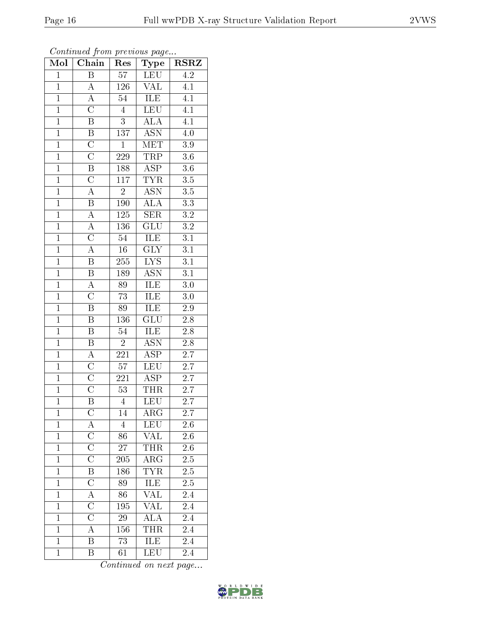| Mol            | Chain                   | Res              | Type                        | $\overline{\text{RSR}}$ |
|----------------|-------------------------|------------------|-----------------------------|-------------------------|
| $\mathbf{1}$   | $\overline{B}$          | 57               | <b>LEU</b>                  | $\overline{4.2}$        |
| $\mathbf{1}$   | A                       | 126              | $\overline{\text{VAL}}$     | 4.1                     |
| $\overline{1}$ | $\overline{A}$          | $5\overline{4}$  | <b>ILE</b>                  | $\overline{4.1}$        |
| $\mathbf{1}$   | $\overline{\rm C}$      | $\overline{4}$   | <b>LEU</b>                  | $\overline{4.1}$        |
| $\overline{1}$ | $\overline{\mathrm{B}}$ | $\overline{3}$   | $\overline{\rm ALA}$        | $\overline{4.1}$        |
| $\mathbf{1}$   | $\boldsymbol{B}$        | 137              | <b>ASN</b>                  | 4.0                     |
| $\mathbf{1}$   | $\overline{C}$          | $\mathbf{1}$     | MET                         | $\overline{3.9}$        |
| $\mathbf{1}$   | $\overline{\rm C}$      | 229              | <b>TRP</b>                  | $3.6\,$                 |
| $\overline{1}$ | $\overline{B}$          | 188              | $\overline{\text{ASP}}$     | $\overline{3.6}$        |
| $\overline{1}$ | $\overline{\rm C}$      | 117              | <b>TYR</b>                  | $\overline{3.5}$        |
| $\overline{1}$ | $\overline{A}$          | $\overline{2}$   | $\overline{\text{ASN}}$     | $\overline{3.5}$        |
| $\overline{1}$ | $\overline{\mathrm{B}}$ | <b>190</b>       | $\overline{ALA}$            | $\overline{3.3}$        |
| $\overline{1}$ | $\overline{\rm A}$      | $\overline{125}$ | $\overline{\text{SER}}$     | $\overline{3.2}$        |
| $\overline{1}$ | $\overline{A}$          | 136              | $\overline{{\rm GLU}}$      | $\overline{3.2}$        |
| $\overline{1}$ | $\overline{\rm C}$      | $\overline{54}$  | <b>ILE</b>                  | $\overline{3.1}$        |
| $\overline{1}$ | $\overline{\rm A}$      | 16               | $\text{GL}\bar{Y}$          | $\overline{3.1}$        |
| $\overline{1}$ | $\overline{\mathrm{B}}$ | $\overline{255}$ | $\overline{\text{LYS}}$     | $\overline{3.1}$        |
| $\overline{1}$ | $\overline{\mathrm{B}}$ | 189              | <b>ASN</b>                  | 3.1                     |
| $\overline{1}$ | $\rm A$                 | 89               | ILE                         | 3.0                     |
| $\mathbf{1}$   | $\overline{\rm C}$      | 73               | $\overline{\text{ILE}}$     | $3.0\,$                 |
| $\mathbf{1}$   | $\overline{\mathrm{B}}$ | 89               | ILE                         | $2.9\,$                 |
| $\overline{1}$ | $\overline{\mathrm{B}}$ | $\overline{136}$ | $\overline{\text{GLU}}$     | $\overline{2.8}$        |
| $\mathbf{1}$   | B                       | 54               | <b>ILE</b>                  | 2.8                     |
| $\overline{1}$ | $\overline{\mathrm{B}}$ | $\overline{2}$   | $\overline{\mathrm{ASN}}$   | $\overline{2.8}$        |
| $\mathbf{1}$   | $\overline{A}$          | 221              | $\overline{\text{ASP}}$     | $\overline{2.7}$        |
| $\mathbf{1}$   | $\overline{C}$          | 57               | $\overline{\text{LEU}}$     | <b>2.7</b>              |
| $\mathbf{1}$   | $\overline{\rm C}$      | 221              | $\overline{\text{ASP}}$     | 2.7                     |
| $\overline{1}$ | $\overline{\rm C}$      | $\overline{53}$  | <b>THR</b>                  | $\overline{2}.7$        |
| $\overline{1}$ | $\overline{\mathrm{B}}$ | $\overline{4}$   | $\overline{\text{LEU}}$     | $\overline{2.7}$        |
| $\mathbf{1}$   | $\overline{\rm C}$      | 14               | $AR\overline{G}$            | $\overline{2.7}$        |
| $\mathbf 1$    | A                       | $\overline{4}$   | LEU                         | $2.6\,$                 |
| $\mathbf{1}$   | $\overline{\rm C}$      | $\overline{86}$  | <b>VAL</b>                  | $2.6\,$                 |
| $\mathbf{1}$   | $\overline{C}$          | 27               | <b>THR</b>                  | $2.6\,$                 |
| $\overline{1}$ | $\overline{\rm C}$      | $\overline{205}$ | $\overline{\rm ARG}$        | $\overline{2.5}$        |
| $\mathbf{1}$   | $\overline{\mathrm{B}}$ | 186              | <b>TYR</b>                  | $2.5\,$                 |
| $\mathbf{1}$   | $\overline{\rm C}$      | $\overline{8}9$  | ILE                         | $2.5\,$                 |
| $\mathbf{1}$   | $\overline{A}$          | 86               | <b>VAL</b>                  | 2.4                     |
| $\overline{1}$ | $\overline{\rm C}$      | 195              | <b>VAL</b>                  | 2.4                     |
| $\mathbf 1$    | $\overline{\rm C}$      | $\sqrt{29}$      | $\overline{A\overline{L}A}$ | 2.4                     |
| $\mathbf{1}$   | A                       | 156              | THR                         | 2.4                     |
| $\mathbf{1}$   | $\overline{\mathrm{B}}$ | $\overline{73}$  | <b>ILE</b>                  | 2.4                     |
| $\mathbf{1}$   | Β                       | 61               | LEU                         | 2.4                     |

Continued from previous page...

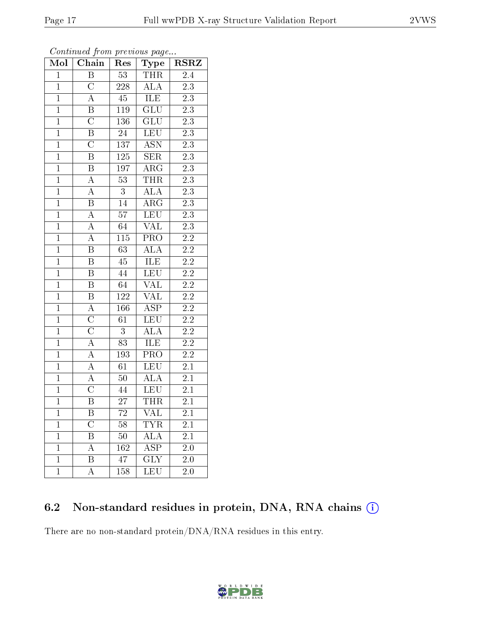| $M$ ol         | Chain                   | Res              | Type                      | <b>RSRZ</b>      |
|----------------|-------------------------|------------------|---------------------------|------------------|
| $\overline{1}$ | $\overline{B}$          | $\overline{53}$  | <b>THR</b>                | 2.4              |
| $\mathbf{1}$   | $\overline{\rm C}$      | 228              | $\overline{ALA}$          | 2.3              |
| $\overline{1}$ | $\overline{\rm A}$      | $\overline{45}$  | <b>ILE</b>                | $\overline{2.3}$ |
| $\mathbf{1}$   | $\boldsymbol{B}$        | $119\,$          | GLU                       | $2\overline{.3}$ |
| $\overline{1}$ | $\overline{\rm C}$      | 136              | $\overline{\text{GLU}}$   | $\overline{2.3}$ |
| $\mathbf{1}$   | $\, {\bf B}$            | 24               | <b>LEU</b>                | $\overline{2.3}$ |
| $\overline{1}$ | $\overline{\rm C}$      | $\overline{137}$ | $\overline{\mathrm{ASN}}$ | $\overline{2.3}$ |
| $\overline{1}$ | $\overline{\mathrm{B}}$ | <b>125</b>       | $\overline{\text{SER}}$   | $\overline{2.3}$ |
| $\mathbf{1}$   | $\, {\bf B}$            | 197              | ARG                       | $2.3\,$          |
| $\overline{1}$ | $\overline{A}$          | $\overline{53}$  | <b>THR</b>                | $\overline{2.3}$ |
| $\overline{1}$ | $\overline{A}$          | $\boldsymbol{3}$ | <b>ALA</b>                | $2.\overline{3}$ |
| $\overline{1}$ | $\overline{\mathrm{B}}$ | $\overline{14}$  | $\overline{\rm{ARG}}$     | $\overline{2.3}$ |
| $\overline{1}$ | $\overline{A}$          | $\overline{57}$  | LEU                       | $\overline{2.3}$ |
| $\overline{1}$ | $\overline{A}$          | $\overline{64}$  | <b>VAL</b>                | $\overline{2.3}$ |
| $\overline{1}$ | $\overline{A}$          | $\overline{115}$ | <b>PRO</b>                | $\overline{2.2}$ |
| $\overline{1}$ | $\boldsymbol{B}$        | $\overline{63}$  | <b>ALA</b>                | $\overline{2.2}$ |
| $\overline{1}$ | B                       | $\overline{45}$  | <b>ILE</b>                | $\overline{2.2}$ |
| $\overline{1}$ | $\, {\bf B}$            | 44               | <b>LEU</b>                | $\overline{2.2}$ |
| $\overline{1}$ | $\, {\bf B}$            | 64               | <b>VAL</b>                | $\overline{2.2}$ |
| $\overline{1}$ | $\overline{\mathrm{B}}$ | 122              | $\overline{\text{VAL}}$   | $\overline{2.2}$ |
| $\overline{1}$ | $\overline{A}$          | 166              | $\overline{\rm ASP}$      | $\overline{2.2}$ |
| $\overline{1}$ | $\overline{\rm C}$      | $\overline{61}$  | LEU                       | $\overline{2.2}$ |
| $\mathbf{1}$   | $\overline{\rm C}$      | 3                | <b>ALA</b>                | $2.\overline{2}$ |
| $\overline{1}$ | $\overline{A}$          | $\overline{83}$  | <b>ILE</b>                | $\overline{2.2}$ |
| $\overline{1}$ | $\overline{A}$          | 193              | $\overline{PRO}$          | $\overline{2.2}$ |
| $\mathbf{1}$   | $\overline{A}$          | $\overline{61}$  | <b>LEU</b>                | 2.1              |
| $\overline{1}$ | $\overline{A}$          | $\overline{50}$  | $\overline{ALA}$          | $\overline{2.1}$ |
| $\mathbf{1}$   | $\mathcal C$            | 44               | LEU                       | 2.1              |
| $\overline{1}$ | $\overline{\mathrm{B}}$ | 27               | THR                       | $\overline{2.1}$ |
| T              | Β                       | 72               | $\overline{\text{VAL}}$   | $2.1\,$          |
| $\overline{1}$ | $\overline{\rm C}$      | 58               | $\overline{\text{YR}}$    | $2.\overline{1}$ |
| $\mathbf 1$    | Β                       | $50\,$           | ALA                       | 2.1              |
| $\mathbf{1}$   | A                       | 162              | <b>ASP</b>                | $2.\overline{0}$ |
| $\mathbf 1$    | Β                       | 47               | $\overline{\text{GLY}}$   | 2.0              |
| $\overline{1}$ | A                       | 158              | <b>LEU</b>                | 2.0              |

Continued from previous page...

### 6.2 Non-standard residues in protein, DNA, RNA chains (i)

There are no non-standard protein/DNA/RNA residues in this entry.